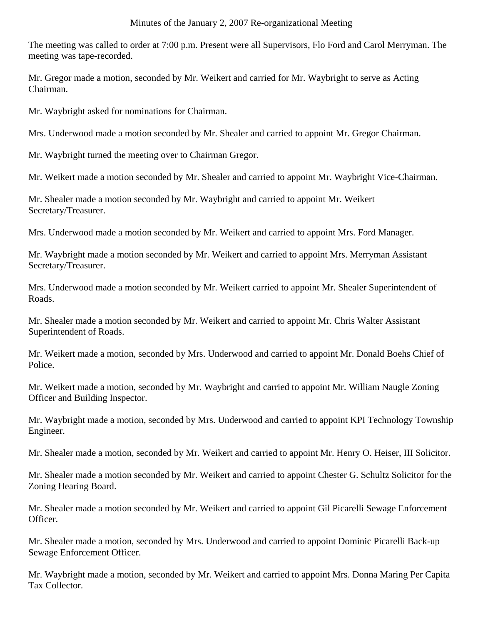The meeting was called to order at 7:00 p.m. Present were all Supervisors, Flo Ford and Carol Merryman. The meeting was tape-recorded.

Mr. Gregor made a motion, seconded by Mr. Weikert and carried for Mr. Waybright to serve as Acting Chairman.

Mr. Waybright asked for nominations for Chairman.

Mrs. Underwood made a motion seconded by Mr. Shealer and carried to appoint Mr. Gregor Chairman.

Mr. Waybright turned the meeting over to Chairman Gregor.

Mr. Weikert made a motion seconded by Mr. Shealer and carried to appoint Mr. Waybright Vice-Chairman.

Mr. Shealer made a motion seconded by Mr. Waybright and carried to appoint Mr. Weikert Secretary/Treasurer.

Mrs. Underwood made a motion seconded by Mr. Weikert and carried to appoint Mrs. Ford Manager.

Mr. Waybright made a motion seconded by Mr. Weikert and carried to appoint Mrs. Merryman Assistant Secretary/Treasurer.

Mrs. Underwood made a motion seconded by Mr. Weikert carried to appoint Mr. Shealer Superintendent of Roads.

Mr. Shealer made a motion seconded by Mr. Weikert and carried to appoint Mr. Chris Walter Assistant Superintendent of Roads.

Mr. Weikert made a motion, seconded by Mrs. Underwood and carried to appoint Mr. Donald Boehs Chief of Police.

Mr. Weikert made a motion, seconded by Mr. Waybright and carried to appoint Mr. William Naugle Zoning Officer and Building Inspector.

Mr. Waybright made a motion, seconded by Mrs. Underwood and carried to appoint KPI Technology Township Engineer.

Mr. Shealer made a motion, seconded by Mr. Weikert and carried to appoint Mr. Henry O. Heiser, III Solicitor.

Mr. Shealer made a motion seconded by Mr. Weikert and carried to appoint Chester G. Schultz Solicitor for the Zoning Hearing Board.

Mr. Shealer made a motion seconded by Mr. Weikert and carried to appoint Gil Picarelli Sewage Enforcement Officer.

Mr. Shealer made a motion, seconded by Mrs. Underwood and carried to appoint Dominic Picarelli Back-up Sewage Enforcement Officer.

Mr. Waybright made a motion, seconded by Mr. Weikert and carried to appoint Mrs. Donna Maring Per Capita Tax Collector.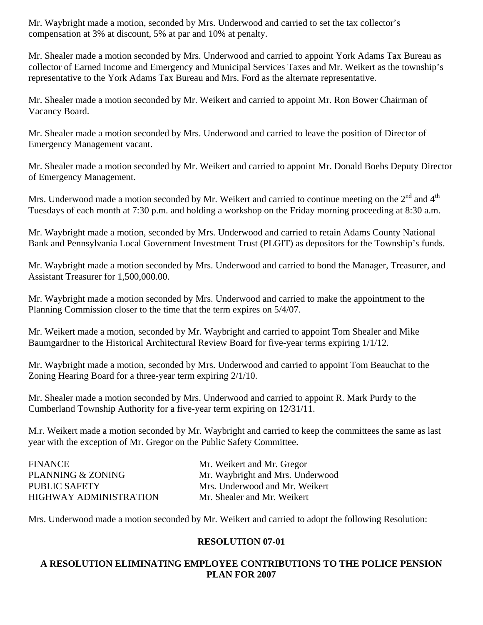Mr. Waybright made a motion, seconded by Mrs. Underwood and carried to set the tax collector's compensation at 3% at discount, 5% at par and 10% at penalty.

Mr. Shealer made a motion seconded by Mrs. Underwood and carried to appoint York Adams Tax Bureau as collector of Earned Income and Emergency and Municipal Services Taxes and Mr. Weikert as the township's representative to the York Adams Tax Bureau and Mrs. Ford as the alternate representative.

Mr. Shealer made a motion seconded by Mr. Weikert and carried to appoint Mr. Ron Bower Chairman of Vacancy Board.

Mr. Shealer made a motion seconded by Mrs. Underwood and carried to leave the position of Director of Emergency Management vacant.

Mr. Shealer made a motion seconded by Mr. Weikert and carried to appoint Mr. Donald Boehs Deputy Director of Emergency Management.

Mrs. Underwood made a motion seconded by Mr. Weikert and carried to continue meeting on the  $2<sup>nd</sup>$  and  $4<sup>th</sup>$ Tuesdays of each month at 7:30 p.m. and holding a workshop on the Friday morning proceeding at 8:30 a.m.

Mr. Waybright made a motion, seconded by Mrs. Underwood and carried to retain Adams County National Bank and Pennsylvania Local Government Investment Trust (PLGIT) as depositors for the Township's funds.

Mr. Waybright made a motion seconded by Mrs. Underwood and carried to bond the Manager, Treasurer, and Assistant Treasurer for 1,500,000.00.

Mr. Waybright made a motion seconded by Mrs. Underwood and carried to make the appointment to the Planning Commission closer to the time that the term expires on 5/4/07.

Mr. Weikert made a motion, seconded by Mr. Waybright and carried to appoint Tom Shealer and Mike Baumgardner to the Historical Architectural Review Board for five-year terms expiring 1/1/12.

Mr. Waybright made a motion, seconded by Mrs. Underwood and carried to appoint Tom Beauchat to the Zoning Hearing Board for a three-year term expiring 2/1/10.

Mr. Shealer made a motion seconded by Mrs. Underwood and carried to appoint R. Mark Purdy to the Cumberland Township Authority for a five-year term expiring on 12/31/11.

M.r. Weikert made a motion seconded by Mr. Waybright and carried to keep the committees the same as last year with the exception of Mr. Gregor on the Public Safety Committee.

| <b>FINANCE</b>         |
|------------------------|
| PLANNING & ZONING      |
| <b>PUBLIC SAFETY</b>   |
| HIGHWAY ADMINISTRATION |

Mr. Weikert and Mr. Gregor Mr. Waybright and Mrs. Underwood Mrs. Underwood and Mr. Weikert Mr. Shealer and Mr. Weikert

Mrs. Underwood made a motion seconded by Mr. Weikert and carried to adopt the following Resolution:

## **RESOLUTION 07-01**

## **A RESOLUTION ELIMINATING EMPLOYEE CONTRIBUTIONS TO THE POLICE PENSION PLAN FOR 2007**